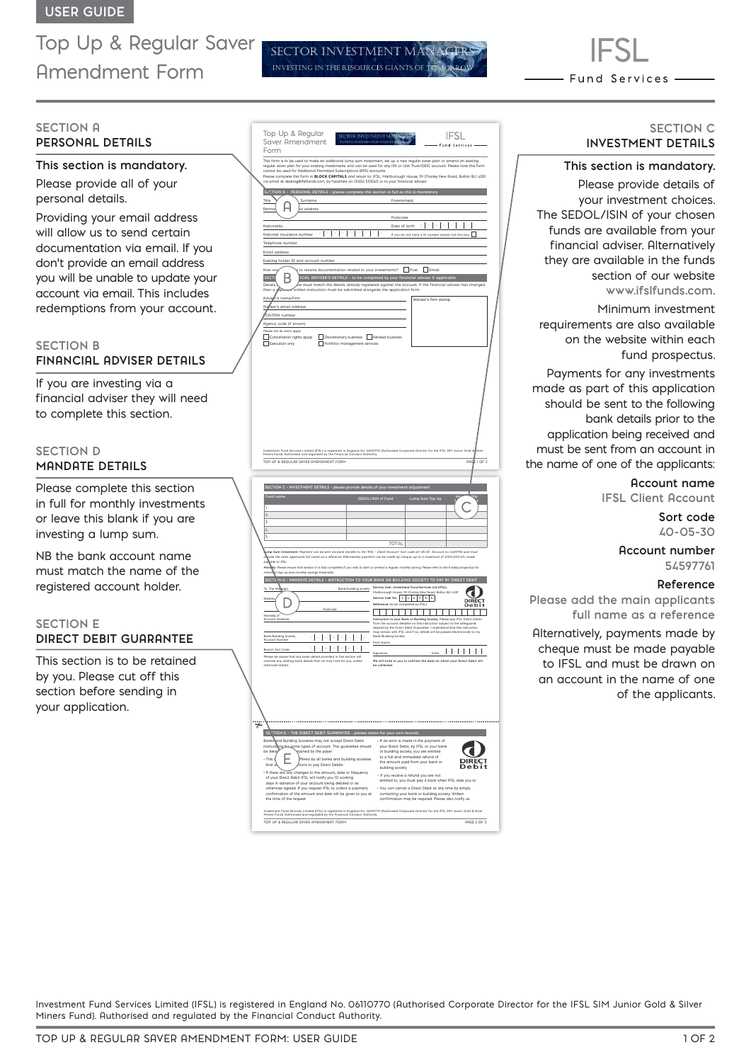Top Up & Regular Saver Amendment Form

**SECTION A PERSONAL DETAILS**

## **This section is mandatory.**

Please provide all of your personal details.

Providing your email address will allow us to send certain documentation via email. If you don't provide an email address you will be unable to update your account via email. This includes redemptions from your account.

# **SECTION B FINANCIAL ADVISER DETAILS**

If you are investing via a financial adviser they will need to complete this section.

# **SECTION D MANDATE DETAILS**

Please complete this section in full for monthly investments or leave this blank if you are investing a lump sum.

NB the bank account name must match the name of the registered account holder.

## **SECTION E DIRECT DEBIT GUARANTEE**

This section is to be retained by you. Please cut off this section before sending in your application.

| Top Up & Regular<br>Saver Amendment<br>INVESTING IN THE RESOURCES GIANTS OF<br>Form                                                                                                                                       | IFSL<br>SECTOR INVESTMENT MANAGER<br>Fund Services                                                                                                                                                                                                                                                                                                                                                                                                                                                                                                                                                   |
|---------------------------------------------------------------------------------------------------------------------------------------------------------------------------------------------------------------------------|------------------------------------------------------------------------------------------------------------------------------------------------------------------------------------------------------------------------------------------------------------------------------------------------------------------------------------------------------------------------------------------------------------------------------------------------------------------------------------------------------------------------------------------------------------------------------------------------------|
|                                                                                                                                                                                                                           | This form is to be used to make an additional lump sum investment, set up a new regular saver plan or amend an existing                                                                                                                                                                                                                                                                                                                                                                                                                                                                              |
|                                                                                                                                                                                                                           | regular saver plan for your existing investments and can be used for any ISA or Unit Trust/OEIC account. Please note this form<br>cannot be used for Additional Permitted Subscriptions (APS) accounts.<br>Please complete this form in <b>BLOCK CAPITALS</b> and return to: IFSL, Marlborough House, 59 Chorley New Road, Bolton BL1 (QP,                                                                                                                                                                                                                                                           |
| via email at dealing@ifsifunds.com, by facsimile on 01204 533045 or to your financial adviser<br>SECTION A - PERSONAL DETAILS - please complete this section in full as this is mandatory                                 |                                                                                                                                                                                                                                                                                                                                                                                                                                                                                                                                                                                                      |
| Title<br>Surname                                                                                                                                                                                                          | Forename(s)                                                                                                                                                                                                                                                                                                                                                                                                                                                                                                                                                                                          |
| Perma<br>al address                                                                                                                                                                                                       | Postcode                                                                                                                                                                                                                                                                                                                                                                                                                                                                                                                                                                                             |
| Nationality<br>X<br>National insurance number $X \times$<br>X                                                                                                                                                             | Date of birth<br>$\times$   $\times$<br>If you do not have a NI number please tick this box                                                                                                                                                                                                                                                                                                                                                                                                                                                                                                          |
| Telephone number                                                                                                                                                                                                          |                                                                                                                                                                                                                                                                                                                                                                                                                                                                                                                                                                                                      |
| Email address<br>Existing holder ID and account number                                                                                                                                                                    |                                                                                                                                                                                                                                                                                                                                                                                                                                                                                                                                                                                                      |
| to receive documentation related to your investments?   Post   Email<br><b>SECTI</b>                                                                                                                                      | ICIAL ADVISER'S DETAILS - to be completed by your financial adviser if applicable                                                                                                                                                                                                                                                                                                                                                                                                                                                                                                                    |
| Details<br>written instruction must be submitted alongside the application form.<br>then a                                                                                                                                | re must match the details already registered against the account. If the financial adviser has changed                                                                                                                                                                                                                                                                                                                                                                                                                                                                                               |
| Advi<br>'s name/firm                                                                                                                                                                                                      | Adviser's firm stamp                                                                                                                                                                                                                                                                                                                                                                                                                                                                                                                                                                                 |
| Adviser's email address<br>CA/FRN number                                                                                                                                                                                  |                                                                                                                                                                                                                                                                                                                                                                                                                                                                                                                                                                                                      |
| Agency code (if known)<br>ease tick all which apply                                                                                                                                                                       |                                                                                                                                                                                                                                                                                                                                                                                                                                                                                                                                                                                                      |
| Cancellation rights apply<br>Discretionary business Advised business<br>Execution only<br>Г<br>Portfolio management services                                                                                              |                                                                                                                                                                                                                                                                                                                                                                                                                                                                                                                                                                                                      |
|                                                                                                                                                                                                                           |                                                                                                                                                                                                                                                                                                                                                                                                                                                                                                                                                                                                      |
|                                                                                                                                                                                                                           |                                                                                                                                                                                                                                                                                                                                                                                                                                                                                                                                                                                                      |
|                                                                                                                                                                                                                           |                                                                                                                                                                                                                                                                                                                                                                                                                                                                                                                                                                                                      |
|                                                                                                                                                                                                                           |                                                                                                                                                                                                                                                                                                                                                                                                                                                                                                                                                                                                      |
|                                                                                                                                                                                                                           |                                                                                                                                                                                                                                                                                                                                                                                                                                                                                                                                                                                                      |
|                                                                                                                                                                                                                           |                                                                                                                                                                                                                                                                                                                                                                                                                                                                                                                                                                                                      |
| Investment Fund Services Limited (IFSL) is registered in England No. 06110770 (Authorised Corporate Director for the IFSL SIM Junior Gold &<br>Miners Fund). Authorised and regulated by the Financial Conduct Authority. |                                                                                                                                                                                                                                                                                                                                                                                                                                                                                                                                                                                                      |
| TOP UP & REGULAR SAVER AMENDMENT FORM                                                                                                                                                                                     | PAGE 1 OF 3                                                                                                                                                                                                                                                                                                                                                                                                                                                                                                                                                                                          |
|                                                                                                                                                                                                                           |                                                                                                                                                                                                                                                                                                                                                                                                                                                                                                                                                                                                      |
| SECTION C - INVESTMENT DETAILS - please provide details of your investment adjustment<br>Fund nam                                                                                                                         | SEDOL/ISIN of Fund<br>Lump Sum Top Up                                                                                                                                                                                                                                                                                                                                                                                                                                                                                                                                                                |
| 1.<br>$\overline{2}$                                                                                                                                                                                                      |                                                                                                                                                                                                                                                                                                                                                                                                                                                                                                                                                                                                      |
| 3.<br>$\mathcal{L}$                                                                                                                                                                                                       |                                                                                                                                                                                                                                                                                                                                                                                                                                                                                                                                                                                                      |
| 5.                                                                                                                                                                                                                        |                                                                                                                                                                                                                                                                                                                                                                                                                                                                                                                                                                                                      |
|                                                                                                                                                                                                                           |                                                                                                                                                                                                                                                                                                                                                                                                                                                                                                                                                                                                      |
|                                                                                                                                                                                                                           | <b>TOTAL</b><br>imp Sum Investment: Payment can be sent via bank transfer to the 'IFSL - Client Rocount' Sort code 40-05-30 Rocount no. 54597761 and must                                                                                                                                                                                                                                                                                                                                                                                                                                            |
| ble to IFSL                                                                                                                                                                                                               | jude the main applicants full name as a reference. Alternatively payment can be made by cheque, up to a maximum of £100,000.00, made<br>ly: Please ensure that section D is fully completed if you wish to start or amend a regular monthly saving. Please refer to the fund(s) prospectus for                                                                                                                                                                                                                                                                                                       |
| m top up and monthly savings thresholds.<br>minin                                                                                                                                                                         | SECTION D - MANDATE DETAILS - INSTRUCTION TO YOUR BANK OR BUILDING SOCIETY TO PAY BY DIRECT DEBIT                                                                                                                                                                                                                                                                                                                                                                                                                                                                                                    |
| To: The Malgge<br>Bank/building society                                                                                                                                                                                   | Service User: Investment Fund Services Ltd (IFSL),<br>Marlborough House, 59 Chorley New Road, Bolton BL1 4QP                                                                                                                                                                                                                                                                                                                                                                                                                                                                                         |
|                                                                                                                                                                                                                           | Service User No: $2465566$<br>DIRECT<br>De b i 1<br>Reference: (to be completed by IFSL)                                                                                                                                                                                                                                                                                                                                                                                                                                                                                                             |
| Postcoa<br>Name(s) of<br>Account Holder(s)                                                                                                                                                                                | -1<br>Instruction to your Bank or Building Society: Please pay IFSL Direct Debits<br>from the account detailed on this instruction subject to the safeguards                                                                                                                                                                                                                                                                                                                                                                                                                                         |
| ank/Building Society                                                                                                                                                                                                      |                                                                                                                                                                                                                                                                                                                                                                                                                                                                                                                                                                                                      |
| <b>Account Number</b><br>I<br>$\times$ $\vert$ - $\vert$<br>$\times$ 1<br>$\times$ $\cdot$<br>Branch Sort Code                                                                                                            | nassured by the Direct Debit Guarantee. I understand that this instruction<br>may remain with IFSL and if so, details will be passed electronically to my<br>Bank/Building Society.<br>Print Name                                                                                                                                                                                                                                                                                                                                                                                                    |
| Please be aware that any bank details provided in this section v<br>άl<br>override any existing bank details that we may hold for you, unless                                                                             | $\begin{array}{ll} \text{Done} & \mathbb{P} \left[ \begin{array}{c c} \mathbb{P} \end{array} \right] \otimes \left[ \begin{array}{c c} \mathbb{P} \end{array} \right] \otimes \left[ \begin{array}{c c} \mathbb{P} \end{array} \right] \otimes \left[ \begin{array}{c c} \mathbb{P} \end{array} \right] \otimes \left[ \begin{array}{c c} \mathbb{P} \end{array} \right] \otimes \left[ \begin{array}{c c} \mathbb{P} \end{array} \right] \otimes \left[ \begin{array}{c c} \mathbb{P} \end{array} \right]$<br>Signature<br>We will write to you to confirm the date on which your Direct Debit will |
| otherwise stated                                                                                                                                                                                                          | be collected                                                                                                                                                                                                                                                                                                                                                                                                                                                                                                                                                                                         |
|                                                                                                                                                                                                                           |                                                                                                                                                                                                                                                                                                                                                                                                                                                                                                                                                                                                      |
|                                                                                                                                                                                                                           |                                                                                                                                                                                                                                                                                                                                                                                                                                                                                                                                                                                                      |
|                                                                                                                                                                                                                           |                                                                                                                                                                                                                                                                                                                                                                                                                                                                                                                                                                                                      |
|                                                                                                                                                                                                                           |                                                                                                                                                                                                                                                                                                                                                                                                                                                                                                                                                                                                      |
| TION E - THE DIRECT DEBIT GUARANTEE - please retain for your own records<br>SE.                                                                                                                                           |                                                                                                                                                                                                                                                                                                                                                                                                                                                                                                                                                                                                      |
| Banks<br>and Building Societies may not accept Direct Debit<br>instruct<br>insufacegome types of account. This guarantee should<br>tained by the payer<br>be deta                                                         | . If an error is made in the payment of<br>your Direct Debit, by IFSL or your bank<br>or building society, you are entitled                                                                                                                                                                                                                                                                                                                                                                                                                                                                          |
| ffered by all banks and building societies<br>+ This 0<br>tions to pay Direct Debits<br>that                                                                                                                              | to a full and immediate refund of<br>the amount paid from your bank or                                                                                                                                                                                                                                                                                                                                                                                                                                                                                                                               |
| . If there are any changes to the amount, date or frequency<br>of your Direct Debit IFSL will notify you 10 working                                                                                                       | building society<br>- If you receive a refund you are not                                                                                                                                                                                                                                                                                                                                                                                                                                                                                                                                            |
| days in advance of your account being debited or as<br>otherwise agreed. If you request IFSL to collect a payment,                                                                                                        | entitled to, you must pay it back when IFSL asks you to<br>* You can cancel a Direct Debit at any time by simply                                                                                                                                                                                                                                                                                                                                                                                                                                                                                     |
| confirmation of the amount and date will be given to you at<br>the time of the request                                                                                                                                    | contacting your bank or building society. Written<br>confirmation may be required. Please also notify us                                                                                                                                                                                                                                                                                                                                                                                                                                                                                             |
|                                                                                                                                                                                                                           | Investment Fund Services Limited (IFSL) is registered in England No. 06110770 (Authorised Corporate Director for the IFSL SIM Junior Gold & Silver<br>Miners Fund). Authorised and regulated by the Financial Conduct Authority.                                                                                                                                                                                                                                                                                                                                                                     |

SECTOR INVESTMENT M **INVESTING IN THE RESOURCES GIANTS OF**  Fund Services -

# **SECTION C INVESTMENT DETAILS**

## **This section is mandatory.**

Please provide details of your investment choices. The SEDOL/ISIN of your chosen funds are available from your financial adviser. Alternatively they are available in the funds section of our website **www.ifslfunds.com.**

Minimum investment requirements are also available on the website within each fund prospectus.

Payments for any investments made as part of this application should be sent to the following bank details prior to the application being received and must be sent from an account in the name of one of the applicants:

# **Account name**

**IFSL Client Account**

**Sort code 40-05-30** 

### **Account number 54597761**

### **Reference**

**Please add the main applicants full name as a reference**

Alternatively, payments made by cheque must be made payable to IFSL and must be drawn on an account in the name of one of the applicants.

Investment Fund Services Limited (IFSL) is registered in England No. 06110770 (Authorised Corporate Director for the IFSL SIM Junior Gold & Silver Miners Fund). Authorised and regulated by the Financial Conduct Authority.